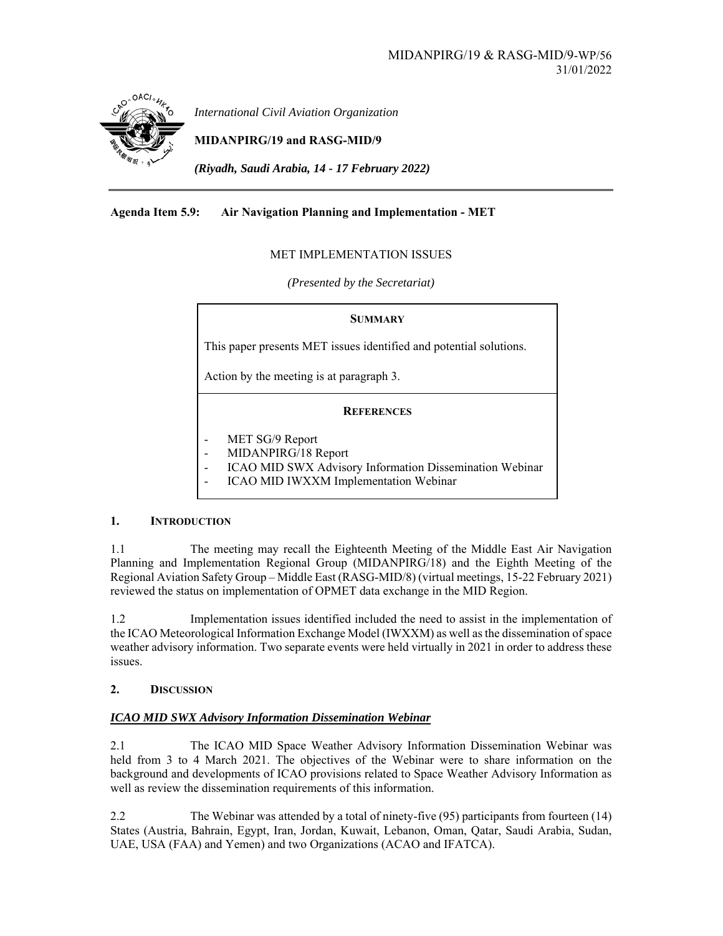

*International Civil Aviation Organization*

**MIDANPIRG/19 and RASG-MID/9** 

*(Riyadh, Saudi Arabia, 14 - 17 February 2022)* 

## **Agenda Item 5.9: Air Navigation Planning and Implementation - MET**

## MET IMPLEMENTATION ISSUES

*(Presented by the Secretariat)* 

### **SUMMARY**

This paper presents MET issues identified and potential solutions.

Action by the meeting is at paragraph 3.

### **REFERENCES**

- MET SG/9 Report
- MIDANPIRG/18 Report
- ICAO MID SWX Advisory Information Dissemination Webinar
- ICAO MID IWXXM Implementation Webinar

### **1. INTRODUCTION**

1.1 The meeting may recall the Eighteenth Meeting of the Middle East Air Navigation Planning and Implementation Regional Group (MIDANPIRG/18) and the Eighth Meeting of the Regional Aviation Safety Group – Middle East (RASG-MID/8) (virtual meetings, 15-22 February 2021) reviewed the status on implementation of OPMET data exchange in the MID Region.

1.2 Implementation issues identified included the need to assist in the implementation of the ICAO Meteorological Information Exchange Model (IWXXM) as well as the dissemination of space weather advisory information. Two separate events were held virtually in 2021 in order to address these issues.

### **2. DISCUSSION**

## *ICAO MID SWX Advisory Information Dissemination Webinar*

2.1 The ICAO MID Space Weather Advisory Information Dissemination Webinar was held from 3 to 4 March 2021. The objectives of the Webinar were to share information on the background and developments of ICAO provisions related to Space Weather Advisory Information as well as review the dissemination requirements of this information.

2.2 The Webinar was attended by a total of ninety-five (95) participants from fourteen (14) States (Austria, Bahrain, Egypt, Iran, Jordan, Kuwait, Lebanon, Oman, Qatar, Saudi Arabia, Sudan, UAE, USA (FAA) and Yemen) and two Organizations (ACAO and IFATCA).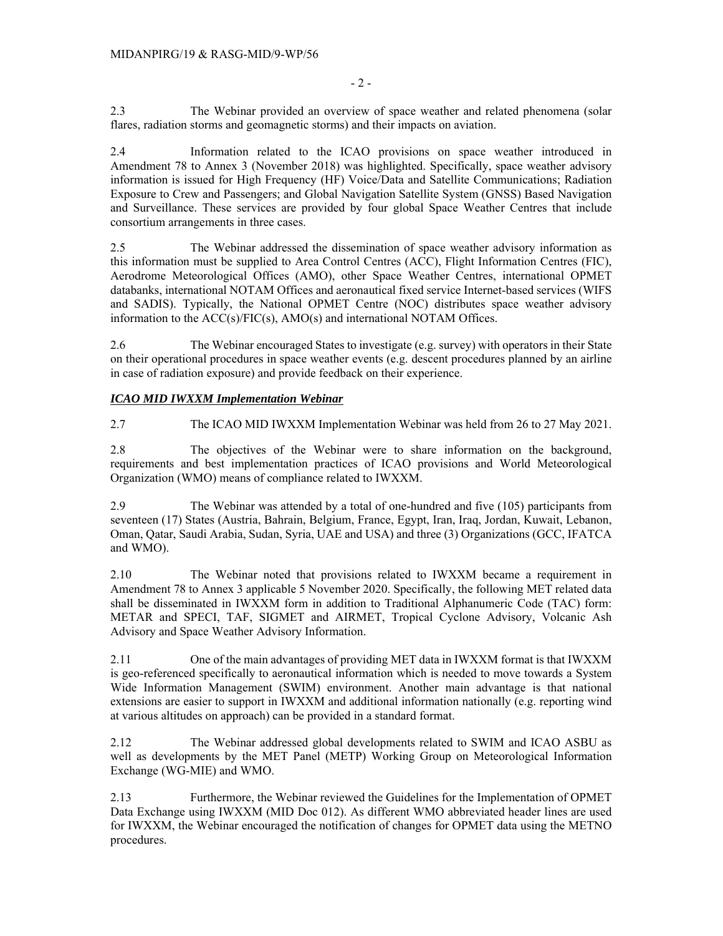- 2 -

2.3 The Webinar provided an overview of space weather and related phenomena (solar flares, radiation storms and geomagnetic storms) and their impacts on aviation.

2.4 Information related to the ICAO provisions on space weather introduced in Amendment 78 to Annex 3 (November 2018) was highlighted. Specifically, space weather advisory information is issued for High Frequency (HF) Voice/Data and Satellite Communications; Radiation Exposure to Crew and Passengers; and Global Navigation Satellite System (GNSS) Based Navigation and Surveillance. These services are provided by four global Space Weather Centres that include consortium arrangements in three cases.

2.5 The Webinar addressed the dissemination of space weather advisory information as this information must be supplied to Area Control Centres (ACC), Flight Information Centres (FIC), Aerodrome Meteorological Offices (AMO), other Space Weather Centres, international OPMET databanks, international NOTAM Offices and aeronautical fixed service Internet-based services (WIFS and SADIS). Typically, the National OPMET Centre (NOC) distributes space weather advisory information to the ACC(s)/FIC(s), AMO(s) and international NOTAM Offices.

2.6 The Webinar encouraged States to investigate (e.g. survey) with operators in their State on their operational procedures in space weather events (e.g. descent procedures planned by an airline in case of radiation exposure) and provide feedback on their experience.

## *ICAO MID IWXXM Implementation Webinar*

2.7 The ICAO MID IWXXM Implementation Webinar was held from 26 to 27 May 2021.

2.8 The objectives of the Webinar were to share information on the background, requirements and best implementation practices of ICAO provisions and World Meteorological Organization (WMO) means of compliance related to IWXXM.

2.9 The Webinar was attended by a total of one-hundred and five (105) participants from seventeen (17) States (Austria, Bahrain, Belgium, France, Egypt, Iran, Iraq, Jordan, Kuwait, Lebanon, Oman, Qatar, Saudi Arabia, Sudan, Syria, UAE and USA) and three (3) Organizations (GCC, IFATCA and WMO).

2.10 The Webinar noted that provisions related to IWXXM became a requirement in Amendment 78 to Annex 3 applicable 5 November 2020. Specifically, the following MET related data shall be disseminated in IWXXM form in addition to Traditional Alphanumeric Code (TAC) form: METAR and SPECI, TAF, SIGMET and AIRMET, Tropical Cyclone Advisory, Volcanic Ash Advisory and Space Weather Advisory Information.

2.11 One of the main advantages of providing MET data in IWXXM format is that IWXXM is geo-referenced specifically to aeronautical information which is needed to move towards a System Wide Information Management (SWIM) environment. Another main advantage is that national extensions are easier to support in IWXXM and additional information nationally (e.g. reporting wind at various altitudes on approach) can be provided in a standard format.

2.12 The Webinar addressed global developments related to SWIM and ICAO ASBU as well as developments by the MET Panel (METP) Working Group on Meteorological Information Exchange (WG-MIE) and WMO.

2.13 Furthermore, the Webinar reviewed the Guidelines for the Implementation of OPMET Data Exchange using IWXXM (MID Doc 012). As different WMO abbreviated header lines are used for IWXXM, the Webinar encouraged the notification of changes for OPMET data using the METNO procedures.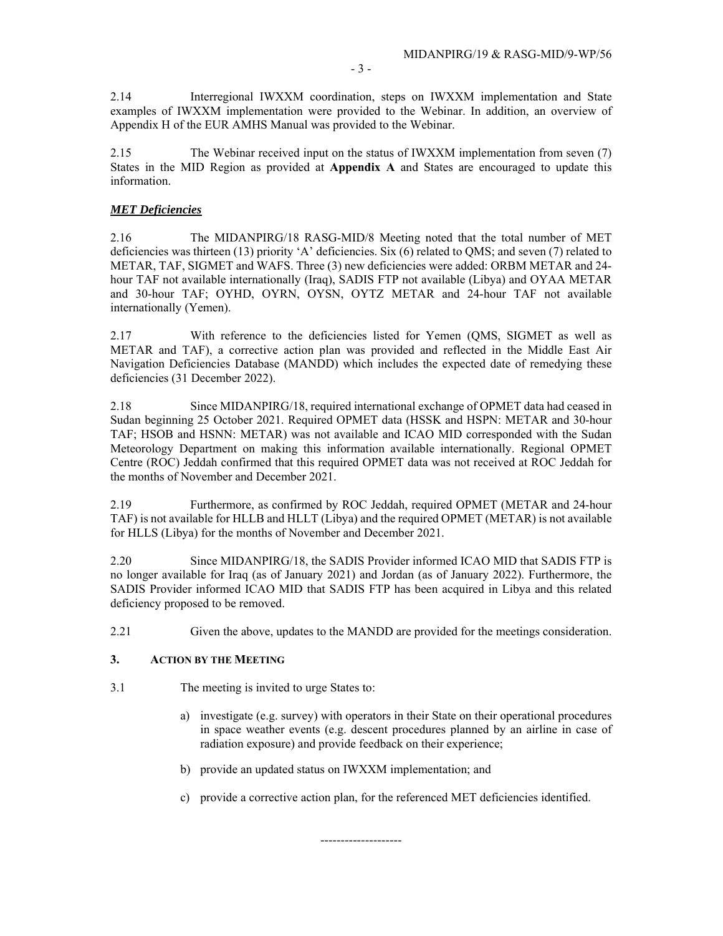2.14 Interregional IWXXM coordination, steps on IWXXM implementation and State examples of IWXXM implementation were provided to the Webinar. In addition, an overview of Appendix H of the EUR AMHS Manual was provided to the Webinar.

2.15 The Webinar received input on the status of IWXXM implementation from seven (7) States in the MID Region as provided at **Appendix A** and States are encouraged to update this information.

## *MET Deficiencies*

2.16 The MIDANPIRG/18 RASG-MID/8 Meeting noted that the total number of MET deficiencies was thirteen (13) priority 'A' deficiencies. Six (6) related to QMS; and seven (7) related to METAR, TAF, SIGMET and WAFS. Three (3) new deficiencies were added: ORBM METAR and 24 hour TAF not available internationally (Iraq), SADIS FTP not available (Libya) and OYAA METAR and 30-hour TAF; OYHD, OYRN, OYSN, OYTZ METAR and 24-hour TAF not available internationally (Yemen).

2.17 With reference to the deficiencies listed for Yemen (QMS, SIGMET as well as METAR and TAF), a corrective action plan was provided and reflected in the Middle East Air Navigation Deficiencies Database (MANDD) which includes the expected date of remedying these deficiencies (31 December 2022).

2.18 Since MIDANPIRG/18, required international exchange of OPMET data had ceased in Sudan beginning 25 October 2021. Required OPMET data (HSSK and HSPN: METAR and 30-hour TAF; HSOB and HSNN: METAR) was not available and ICAO MID corresponded with the Sudan Meteorology Department on making this information available internationally. Regional OPMET Centre (ROC) Jeddah confirmed that this required OPMET data was not received at ROC Jeddah for the months of November and December 2021.

2.19 Furthermore, as confirmed by ROC Jeddah, required OPMET (METAR and 24-hour TAF) is not available for HLLB and HLLT (Libya) and the required OPMET (METAR) is not available for HLLS (Libya) for the months of November and December 2021.

2.20 Since MIDANPIRG/18, the SADIS Provider informed ICAO MID that SADIS FTP is no longer available for Iraq (as of January 2021) and Jordan (as of January 2022). Furthermore, the SADIS Provider informed ICAO MID that SADIS FTP has been acquired in Libya and this related deficiency proposed to be removed.

2.21 Given the above, updates to the MANDD are provided for the meetings consideration.

### **3. ACTION BY THE MEETING**

- 3.1 The meeting is invited to urge States to:
	- a) investigate (e.g. survey) with operators in their State on their operational procedures in space weather events (e.g. descent procedures planned by an airline in case of radiation exposure) and provide feedback on their experience;
	- b) provide an updated status on IWXXM implementation; and
	- c) provide a corrective action plan, for the referenced MET deficiencies identified.

--------------------